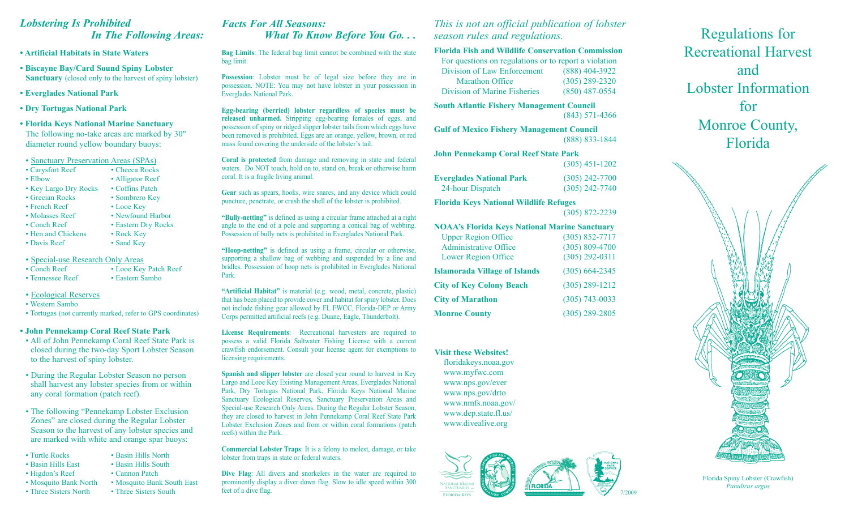### *Lobstering Is Prohibited In The Following Areas:*

**• Artificial Habitats in State Waters**

- **Biscayne Bay/Card Sound Spiny Lobster Sanctuary** (closed only to the harvest of spiny lobster)
- **Everglades National Park**
- **Dry Tortugas National Park**
- **Florida Keys National Marine Sanctuary** The following no-take areas are marked by 30" diameter round yellow boundary buoys:

 • Sanctuary Preservation Areas (SPAs)

- Carysfort Reef Cheeca Rocks
- Elbow Alligator Reef
- Key Largo Dry Rocks Coffins Patch
- Grecian Rocks Sombrero Key
- French Reef Looe Key
- Molasses Reef Newfound Harbor
- 
- Hen and Chickens Rock Key
- 
- 

|                    |  | • Special-use Research Only Areas |  |
|--------------------|--|-----------------------------------|--|
| $\cdot$ Conch Reef |  | • Looe Key Patch Reef             |  |
|                    |  |                                   |  |

- Tennessee Reef Eastern Sambo
- Ecological Reserves
- Western Sambo
- Tortugas (not currently marked, refer to GPS coordinates)

#### **• John Pennekamp Coral Reef State Park**

- All of John Pennekamp Coral Reef State Park is closed during the two-day Sport Lobster Season to the harvest of spiny lobster.
- During the Regular Lobster Season no person shall harvest any lobster species from or within any coral formation (patch reef).
- The following "Pennekamp Lobster Exclusion Zones" are closed during the Regular Lobster Season to the harvest of any lobster species and are marked with white and orange spar buoys:
- Turtle Rocks Basin Hills North
- Basin Hills East Basin Hills South
- Higdon's Reef Cannon Patch
- Mosquito Bank North Mosquito Bank South East Three Sisters South Three Sisters South
- Three Sisters North

## *Facts For All Seasons: What To Know Before You Go. . .*

**Bag Limits**: The federal bag limit cannot be combined with the state bag limit.

**Possession**: Lobster must be of legal size before they are in possession. NOTE: You may not have lobster in your possession in Everglades National Park.

**Egg-bearing (berried) lobster regardless of species must be released unharmed.** Stripping egg-bearing females of eggs, and possession of spiny or ridged slipper lobster tails from which eggs have been removed is prohibited. Eggs are an orange, yellow, brown, or red mass found covering the underside of the lobster's tail.

**Coral is protected** from damage and removing in state and federal waters. Do NOT touch, hold on to, stand on, break or otherwise harm coral. It is a fragile living animal.

**Gear** such as spears, hooks, wire snares, and any device which could puncture, penetrate, or crush the shell of the lobster is prohibited.

**"Bully-netting"** is defined as using a circular frame attached at a right angle to the end of a pole and supporting a conical bag of webbing. Possession of bully nets is prohibited in Everglades National Park.

**"Hoop-netting"** is defined as using a frame, circular or otherwise, supporting a shallow bag of webbing and suspended by a line and bridles. Possession of hoop nets is prohibited in Everglades National Park.

**"Artificial Habitat"** is material (e.g. wood, metal, concrete, plastic) that has been placed to provide cover and habitat for spiny lobster. Does not include fishing gear allowed by FL FWCC, Florida-DEP or Army Corps permitted artificial reefs (e.g. Duane, Eagle, Thunderbolt).

**License Requirements**: Recreational harvesters are required to possess a valid Florida Saltwater Fishing License with a current crawfish endorsement. Consult your license agent for exemptions to licensing requirements.

**Spanish and slipper lobster** are closed year round to harvest in Key Largo and Looe Key Existing Management Areas, Everglades National Park, Dry Tortugas National Park, Florida Keys National Marine Sanctuary Ecological Reserves, Sanctuary Preservation Areas and Special-use Research Only Areas. During the Regular Lobster Season, they are closed to harvest in John Pennekamp Coral Reef State Park Lobster Exclusion Zones and from or within coral formations (patch reefs) within the Park.

**Commercial Lobster Traps**: It is a felony to molest, damage, or take lobster from traps in state or federal waters.

**Dive Flag**: All divers and snorkelers in the water are required to prominently display a diver down flag. Slow to idle speed within 300 feet of a dive flag.

*This is not an official publication of lobster season rules and regulations.*

#### **Florida Fish and Wildlife Conservation Commission**

| For questions on regulations or to report a violation |                    |
|-------------------------------------------------------|--------------------|
| Division of Law Enforcement                           | (888) 404-3922     |
| <b>Marathon Office</b>                                | $(305) 289 - 2320$ |
| Division of Marine Fisheries                          | $(850)$ 487-0554   |
|                                                       |                    |

**South Atlantic Fishery Management Council** (843) 571-4366

**Gulf of Mexico Fishery Management Council** (888) 833-1844

| John Pennekamp Coral Reef State Park |  |                  |
|--------------------------------------|--|------------------|
|                                      |  | $(305)$ 451-1202 |

| <b>Everglades National Park</b> | $(305)$ 242-7700 |
|---------------------------------|------------------|
| 24-hour Dispatch                | $(305)$ 242-7740 |

**Florida Keys National Wildlife Refuges** (305) 872-2239

| <b>NOAA's Florida Keys National Marine Sanctuary</b> |                    |
|------------------------------------------------------|--------------------|
| <b>Upper Region Office</b>                           | $(305) 852 - 7717$ |
| <b>Administrative Office</b>                         | $(305) 809 - 4700$ |
| <b>Lower Region Office</b>                           | $(305)$ 292-0311   |
| <b>Islamorada Village of Islands</b>                 | $(305) 664 - 2345$ |
| <b>City of Key Colony Beach</b>                      | $(305) 289 - 1212$ |
| <b>City of Marathon</b>                              | $(305)$ 743-0033   |
| <b>Monroe County</b>                                 | $(305)$ 289-2805   |
|                                                      |                    |

**Visit these Websites!** floridakeys.noaa.gov www.myfwc.com www.nps.gov/ever www.nps.gov/drto www.nmfs.noaa.gov/ www.dep.state.fl.us/ www.divealive.org



Regulations for Recreational Harvest and Lobster Information for Monroe County, Florida



Florida Spiny Lobster (Crawfish) *Panulirus argus*







- Davis Reef Sand Key
	-